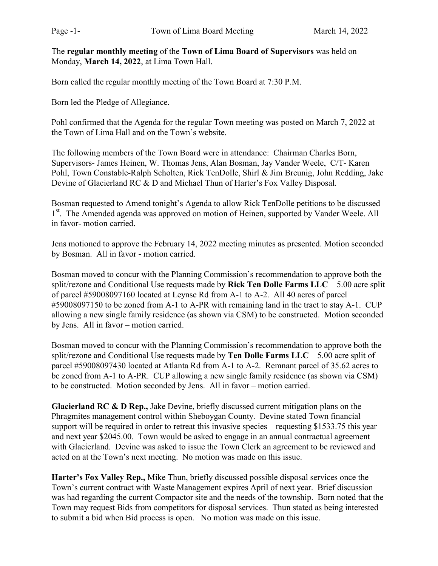The regular monthly meeting of the Town of Lima Board of Supervisors was held on Monday, March 14, 2022, at Lima Town Hall.

Born called the regular monthly meeting of the Town Board at 7:30 P.M.

Born led the Pledge of Allegiance.

Pohl confirmed that the Agenda for the regular Town meeting was posted on March 7, 2022 at the Town of Lima Hall and on the Town's website.

The following members of the Town Board were in attendance: Chairman Charles Born, Supervisors- James Heinen, W. Thomas Jens, Alan Bosman, Jay Vander Weele, C/T- Karen Pohl, Town Constable-Ralph Scholten, Rick TenDolle, Shirl & Jim Breunig, John Redding, Jake Devine of Glacierland RC & D and Michael Thun of Harter's Fox Valley Disposal.

Bosman requested to Amend tonight's Agenda to allow Rick TenDolle petitions to be discussed 1<sup>st</sup>. The Amended agenda was approved on motion of Heinen, supported by Vander Weele. All in favor- motion carried.

Jens motioned to approve the February 14, 2022 meeting minutes as presented. Motion seconded by Bosman. All in favor - motion carried.

Bosman moved to concur with the Planning Commission's recommendation to approve both the split/rezone and Conditional Use requests made by Rick Ten Dolle Farms  $LLC - 5.00$  acre split of parcel #59008097160 located at Leynse Rd from A-1 to A-2. All 40 acres of parcel #59008097150 to be zoned from A-1 to A-PR with remaining land in the tract to stay A-1. CUP allowing a new single family residence (as shown via CSM) to be constructed. Motion seconded by Jens. All in favor – motion carried.

Bosman moved to concur with the Planning Commission's recommendation to approve both the split/rezone and Conditional Use requests made by **Ten Dolle Farms LLC** – 5.00 acre split of parcel #59008097430 located at Atlanta Rd from A-1 to A-2. Remnant parcel of 35.62 acres to be zoned from A-1 to A-PR. CUP allowing a new single family residence (as shown via CSM) to be constructed. Motion seconded by Jens. All in favor – motion carried.

Glacierland RC & D Rep., Jake Devine, briefly discussed current mitigation plans on the Phragmites management control within Sheboygan County. Devine stated Town financial support will be required in order to retreat this invasive species – requesting \$1533.75 this year and next year \$2045.00. Town would be asked to engage in an annual contractual agreement with Glacierland. Devine was asked to issue the Town Clerk an agreement to be reviewed and acted on at the Town's next meeting. No motion was made on this issue.

Harter's Fox Valley Rep., Mike Thun, briefly discussed possible disposal services once the Town's current contract with Waste Management expires April of next year. Brief discussion was had regarding the current Compactor site and the needs of the township. Born noted that the Town may request Bids from competitors for disposal services. Thun stated as being interested to submit a bid when Bid process is open. No motion was made on this issue.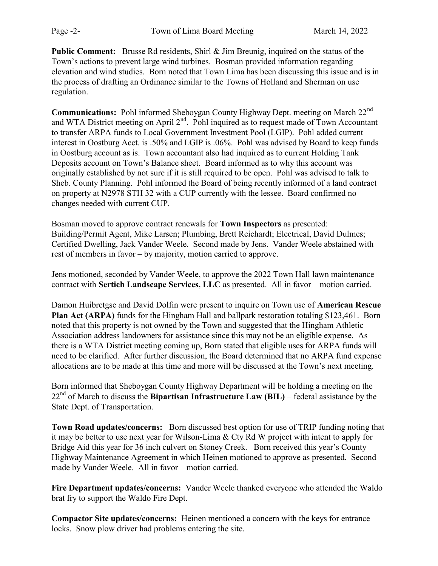Public Comment: Brusse Rd residents, Shirl & Jim Breunig, inquired on the status of the Town's actions to prevent large wind turbines. Bosman provided information regarding elevation and wind studies. Born noted that Town Lima has been discussing this issue and is in the process of drafting an Ordinance similar to the Towns of Holland and Sherman on use regulation.

Communications: Pohl informed Sheboygan County Highway Dept. meeting on March 22nd and WTA District meeting on April 2<sup>nd</sup>. Pohl inquired as to request made of Town Accountant to transfer ARPA funds to Local Government Investment Pool (LGIP). Pohl added current interest in Oostburg Acct. is .50% and LGIP is .06%. Pohl was advised by Board to keep funds in Oostburg account as is. Town accountant also had inquired as to current Holding Tank Deposits account on Town's Balance sheet. Board informed as to why this account was originally established by not sure if it is still required to be open. Pohl was advised to talk to Sheb. County Planning. Pohl informed the Board of being recently informed of a land contract on property at N2978 STH 32 with a CUP currently with the lessee. Board confirmed no changes needed with current CUP.

Bosman moved to approve contract renewals for Town Inspectors as presented: Building/Permit Agent, Mike Larsen; Plumbing, Brett Reichardt; Electrical, David Dulmes; Certified Dwelling, Jack Vander Weele. Second made by Jens. Vander Weele abstained with rest of members in favor – by majority, motion carried to approve.

Jens motioned, seconded by Vander Weele, to approve the 2022 Town Hall lawn maintenance contract with Sertich Landscape Services, LLC as presented. All in favor – motion carried.

Damon Huibretgse and David Dolfin were present to inquire on Town use of American Rescue Plan Act (ARPA) funds for the Hingham Hall and ballpark restoration totaling \$123,461. Born noted that this property is not owned by the Town and suggested that the Hingham Athletic Association address landowners for assistance since this may not be an eligible expense. As there is a WTA District meeting coming up, Born stated that eligible uses for ARPA funds will need to be clarified. After further discussion, the Board determined that no ARPA fund expense allocations are to be made at this time and more will be discussed at the Town's next meeting.

Born informed that Sheboygan County Highway Department will be holding a meeting on the  $22<sup>nd</sup>$  of March to discuss the **Bipartisan Infrastructure Law (BIL)** – federal assistance by the State Dept. of Transportation.

Town Road updates/concerns: Born discussed best option for use of TRIP funding noting that it may be better to use next year for Wilson-Lima & Cty Rd W project with intent to apply for Bridge Aid this year for 36 inch culvert on Stoney Creek. Born received this year's County Highway Maintenance Agreement in which Heinen motioned to approve as presented. Second made by Vander Weele. All in favor – motion carried.

Fire Department updates/concerns: Vander Weele thanked everyone who attended the Waldo brat fry to support the Waldo Fire Dept.

Compactor Site updates/concerns: Heinen mentioned a concern with the keys for entrance locks. Snow plow driver had problems entering the site.